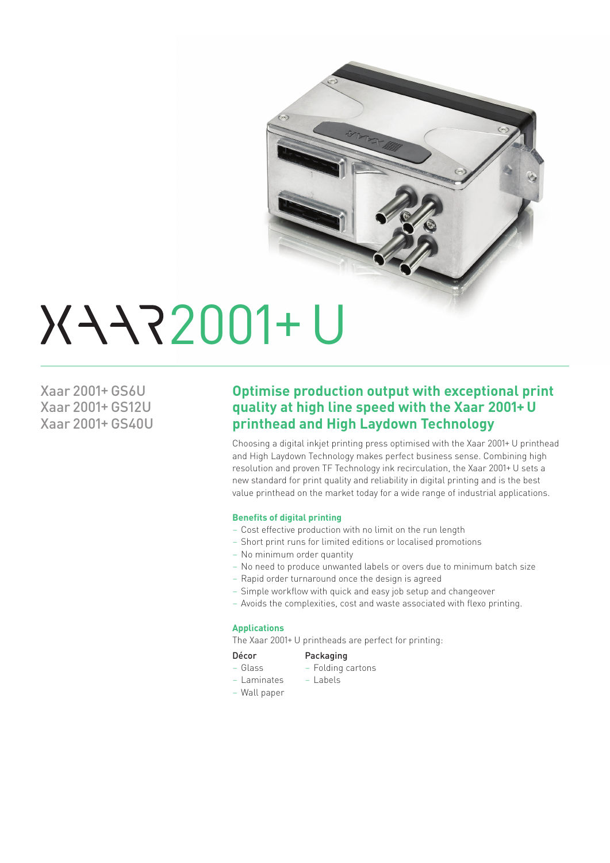

# 2001+ U

Xaar 2001+ GS6U Xaar 2001+ GS12U Xaar 2001+ GS40U

### **Optimise production output with exceptional print quality at high line speed with the Xaar 2001+ U printhead and High Laydown Technology**

Choosing a digital inkjet printing press optimised with the Xaar 2001+ U printhead and High Laydown Technology makes perfect business sense. Combining high resolution and proven TF Technology ink recirculation, the Xaar 2001+ U sets a new standard for print quality and reliability in digital printing and is the best value printhead on the market today for a wide range of industrial applications.

### **Benefits of digital printing**

- Cost effective production with no limit on the run length
- Short print runs for limited editions or localised promotions
- No minimum order quantity
- No need to produce unwanted labels or overs due to minimum batch size
- Rapid order turnaround once the design is agreed
- Simple workflow with quick and easy job setup and changeover
- Avoids the complexities, cost and waste associated with flexo printing.

### **Applications**

The Xaar 2001+ U printheads are perfect for printing:

### Décor Packaging

- 
- Glass Folding cartons
- Wall paper
- Laminates Labels